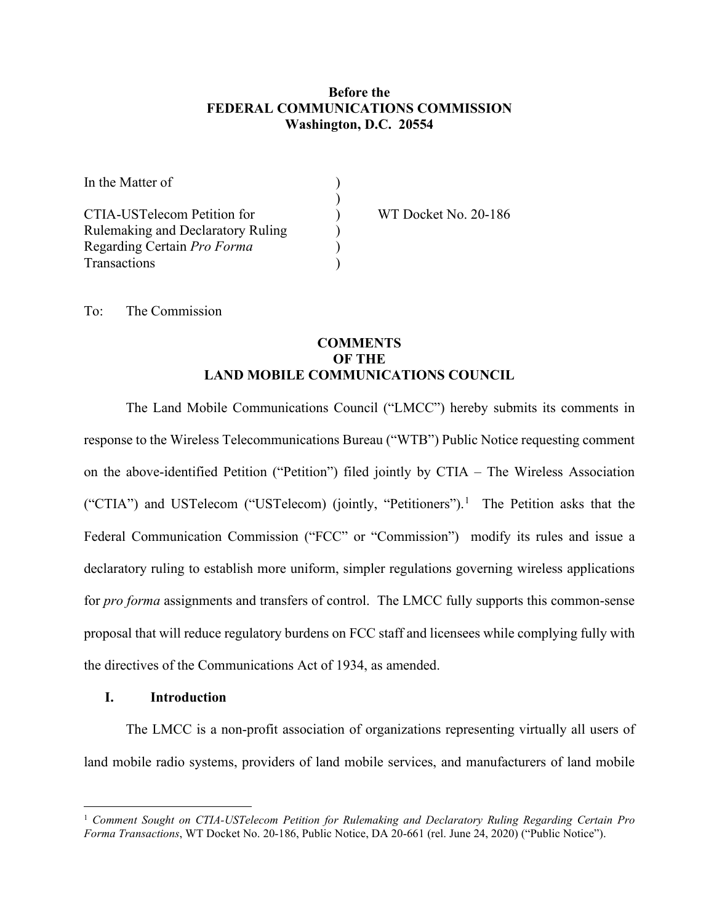# **Before the FEDERAL COMMUNICATIONS COMMISSION Washington, D.C. 20554**

| In the Matter of                         |                      |
|------------------------------------------|----------------------|
|                                          |                      |
| CTIA-USTelecom Petition for              | WT Docket No. 20-186 |
| <b>Rulemaking and Declaratory Ruling</b> |                      |
| Regarding Certain Pro Forma              |                      |
| Transactions                             |                      |

To: The Commission

#### **COMMENTS OF THE LAND MOBILE COMMUNICATIONS COUNCIL**

The Land Mobile Communications Council ("LMCC") hereby submits its comments in response to the Wireless Telecommunications Bureau ("WTB") Public Notice requesting comment on the above-identified Petition ("Petition") filed jointly by CTIA – The Wireless Association ("CTIA") and USTelecom ("USTelecom) (jointly, "Petitioners").<sup>[1](#page-0-0)</sup> The Petition asks that the Federal Communication Commission ("FCC" or "Commission") modify its rules and issue a declaratory ruling to establish more uniform, simpler regulations governing wireless applications for *pro forma* assignments and transfers of control. The LMCC fully supports this common-sense proposal that will reduce regulatory burdens on FCC staff and licensees while complying fully with the directives of the Communications Act of 1934, as amended.

#### **I. Introduction**

The LMCC is a non-profit association of organizations representing virtually all users of land mobile radio systems, providers of land mobile services, and manufacturers of land mobile

<span id="page-0-0"></span><sup>1</sup> *Comment Sought on CTIA-USTelecom Petition for Rulemaking and Declaratory Ruling Regarding Certain Pro Forma Transactions*, WT Docket No. 20-186, Public Notice, DA 20-661 (rel. June 24, 2020) ("Public Notice").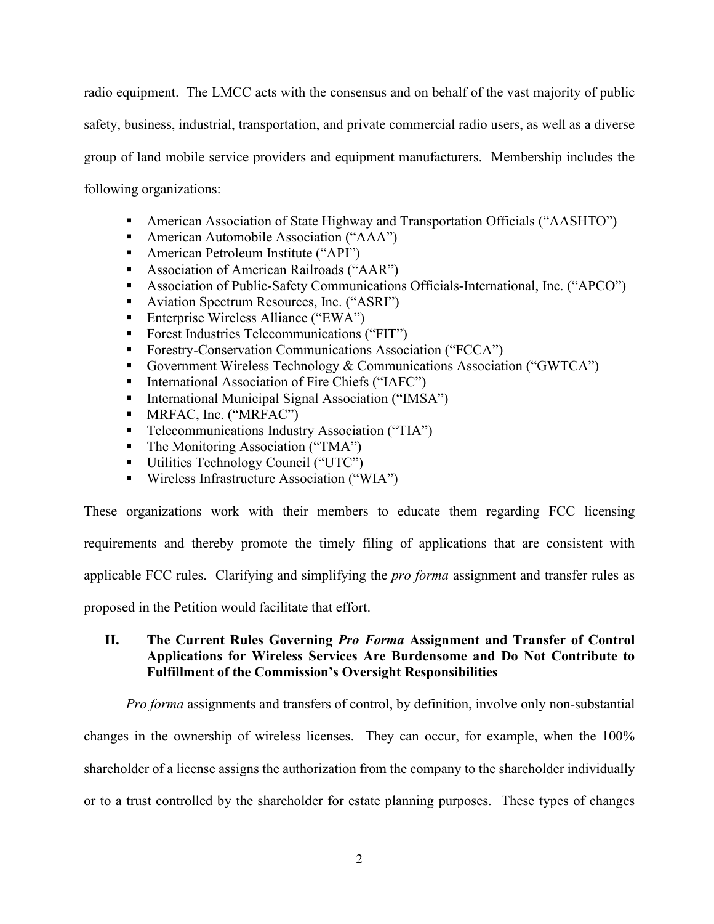radio equipment. The LMCC acts with the consensus and on behalf of the vast majority of public safety, business, industrial, transportation, and private commercial radio users, as well as a diverse group of land mobile service providers and equipment manufacturers. Membership includes the following organizations:

- American Association of State Highway and Transportation Officials ("AASHTO")
- American Automobile Association ("AAA")
- American Petroleum Institute ("API")
- Association of American Railroads ("AAR")
- Association of Public-Safety Communications Officials-International, Inc. ("APCO")
- Aviation Spectrum Resources, Inc. ("ASRI")
- Enterprise Wireless Alliance ("EWA")
- Forest Industries Telecommunications ("FIT")
- **Forestry-Conservation Communications Association ("FCCA")**
- Government Wireless Technology & Communications Association ("GWTCA")
- **International Association of Fire Chiefs ("IAFC")**
- International Municipal Signal Association ("IMSA")
- **MRFAC, Inc. ("MRFAC")**
- Telecommunications Industry Association ("TIA")
- The Monitoring Association ("TMA")
- Utilities Technology Council ("UTC")
- Wireless Infrastructure Association ("WIA")

These organizations work with their members to educate them regarding FCC licensing requirements and thereby promote the timely filing of applications that are consistent with applicable FCC rules. Clarifying and simplifying the *pro forma* assignment and transfer rules as proposed in the Petition would facilitate that effort.

# **II. The Current Rules Governing** *Pro Forma* **Assignment and Transfer of Control Applications for Wireless Services Are Burdensome and Do Not Contribute to Fulfillment of the Commission's Oversight Responsibilities**

*Pro forma* assignments and transfers of control, by definition, involve only non-substantial changes in the ownership of wireless licenses. They can occur, for example, when the 100% shareholder of a license assigns the authorization from the company to the shareholder individually or to a trust controlled by the shareholder for estate planning purposes. These types of changes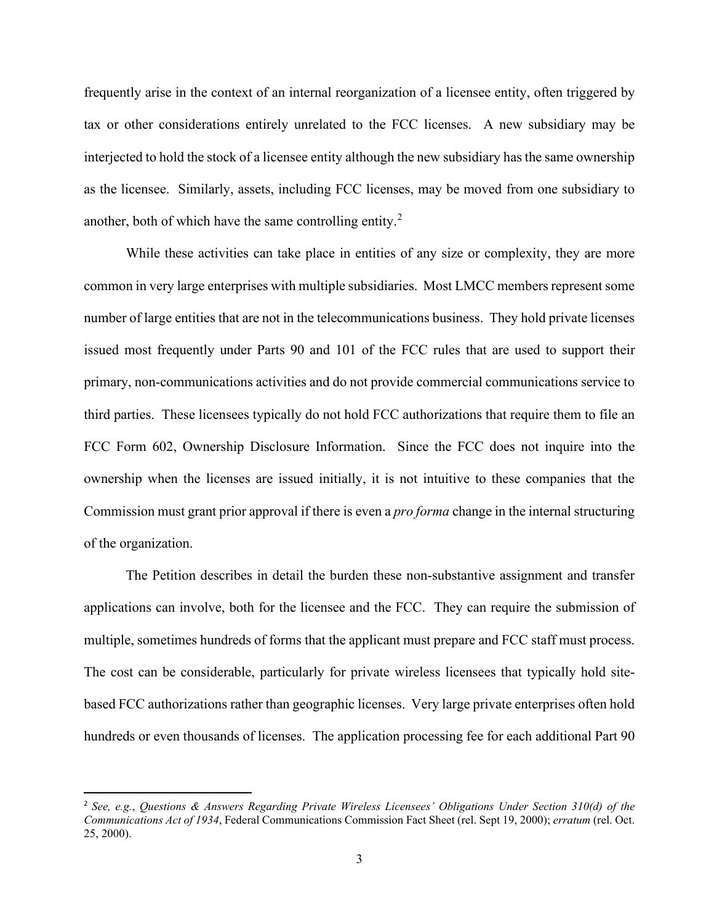frequently arise in the context of an internal reorganization of a licensee entity, often triggered by tax or other considerations entirely unrelated to the FCC licenses. A new subsidiary may be interjected to hold the stock of a licensee entity although the new subsidiary has the same ownership as the licensee. Similarly, assets, including FCC licenses, may be moved from one subsidiary to another, both of which have the same controlling entity.<sup>[2](#page-2-0)</sup>

While these activities can take place in entities of any size or complexity, they are more common in very large enterprises with multiple subsidiaries. Most LMCC members represent some number of large entities that are not in the telecommunications business. They hold private licenses issued most frequently under Parts 90 and 101 of the FCC rules that are used to support their primary, non-communications activities and do not provide commercial communications service to third parties. These licensees typically do not hold FCC authorizations that require them to file an FCC Form 602, Ownership Disclosure Information. Since the FCC does not inquire into the ownership when the licenses are issued initially, it is not intuitive to these companies that the Commission must grant prior approval if there is even a *pro forma* change in the internal structuring of the organization.

The Petition describes in detail the burden these non-substantive assignment and transfer applications can involve, both for the licensee and the FCC. They can require the submission of multiple, sometimes hundreds of forms that the applicant must prepare and FCC staff must process. The cost can be considerable, particularly for private wireless licensees that typically hold sitebased FCC authorizations rather than geographic licenses. Very large private enterprises often hold hundreds or even thousands of licenses. The application processing fee for each additional Part 90

<span id="page-2-0"></span><sup>2</sup> *See, e.g.*, *Questions & Answers Regarding Private Wireless Licensees' Obligations Under Section 310(d) of the Communications Act of 1934*, Federal Communications Commission Fact Sheet (rel. Sept 19, 2000); *erratum* (rel. Oct. 25, 2000).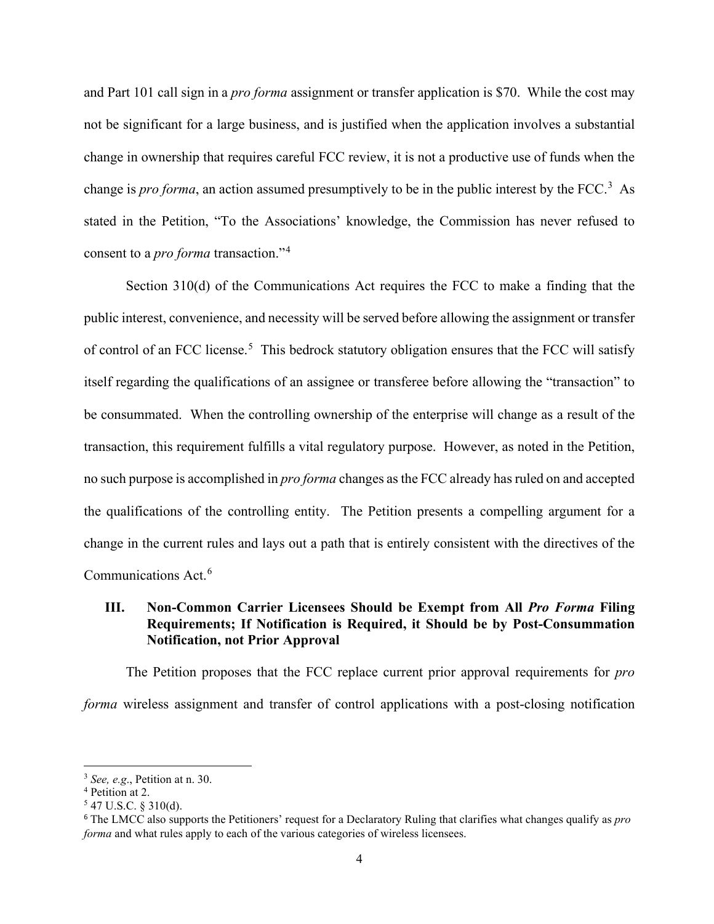and Part 101 call sign in a *pro forma* assignment or transfer application is \$70. While the cost may not be significant for a large business, and is justified when the application involves a substantial change in ownership that requires careful FCC review, it is not a productive use of funds when the change is *pro forma*, an action assumed presumptively to be in the public interest by the FCC.<sup>[3](#page-3-0)</sup> As stated in the Petition, "To the Associations' knowledge, the Commission has never refused to consent to a *pro forma* transaction."[4](#page-3-1)

Section 310(d) of the Communications Act requires the FCC to make a finding that the public interest, convenience, and necessity will be served before allowing the assignment or transfer of control of an FCC license.<sup>[5](#page-3-2)</sup> This bedrock statutory obligation ensures that the FCC will satisfy itself regarding the qualifications of an assignee or transferee before allowing the "transaction" to be consummated. When the controlling ownership of the enterprise will change as a result of the transaction, this requirement fulfills a vital regulatory purpose. However, as noted in the Petition, no such purpose is accomplished in *pro forma* changes as the FCC already has ruled on and accepted the qualifications of the controlling entity. The Petition presents a compelling argument for a change in the current rules and lays out a path that is entirely consistent with the directives of the Communications Act.<sup>[6](#page-3-3)</sup>

## **III. Non-Common Carrier Licensees Should be Exempt from All** *Pro Forma* **Filing Requirements; If Notification is Required, it Should be by Post-Consummation Notification, not Prior Approval**

The Petition proposes that the FCC replace current prior approval requirements for *pro forma* wireless assignment and transfer of control applications with a post-closing notification

<span id="page-3-0"></span><sup>3</sup> *See, e.g*., Petition at n. 30.

<span id="page-3-1"></span><sup>4</sup> Petition at 2.

<sup>5</sup> 47 U.S.C. § 310(d).

<span id="page-3-3"></span><span id="page-3-2"></span><sup>6</sup> The LMCC also supports the Petitioners' request for a Declaratory Ruling that clarifies what changes qualify as *pro forma* and what rules apply to each of the various categories of wireless licensees.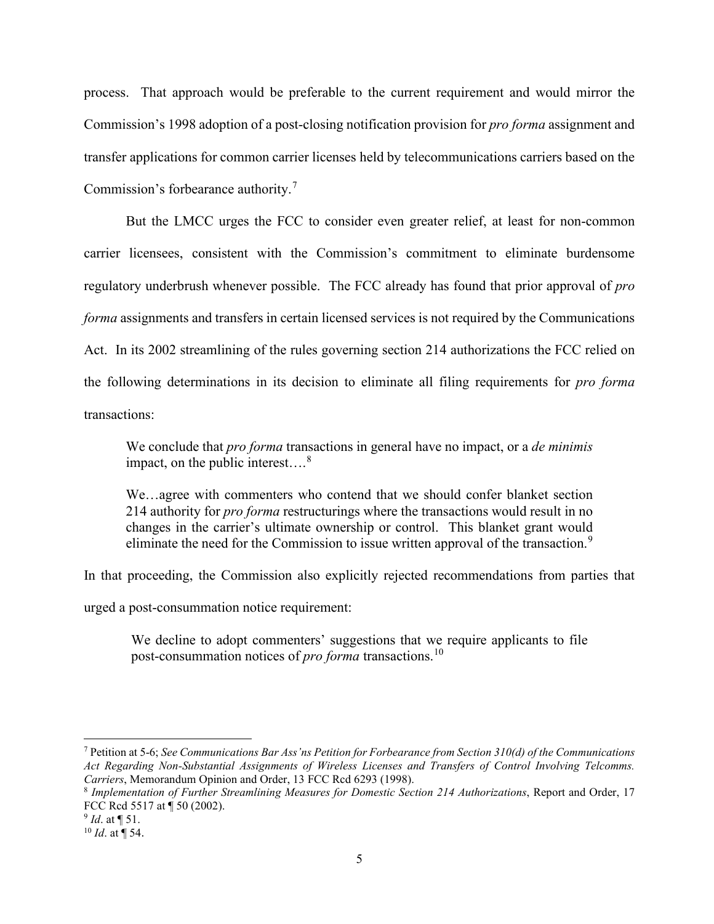process. That approach would be preferable to the current requirement and would mirror the Commission's 1998 adoption of a post-closing notification provision for *pro forma* assignment and transfer applications for common carrier licenses held by telecommunications carriers based on the Commission's forbearance authority.<sup>[7](#page-4-0)</sup>

But the LMCC urges the FCC to consider even greater relief, at least for non-common carrier licensees, consistent with the Commission's commitment to eliminate burdensome regulatory underbrush whenever possible. The FCC already has found that prior approval of *pro forma* assignments and transfers in certain licensed services is not required by the Communications Act. In its 2002 streamlining of the rules governing section 214 authorizations the FCC relied on the following determinations in its decision to eliminate all filing requirements for *pro forma* transactions:

We conclude that *pro forma* transactions in general have no impact, or a *de minimis* impact, on the public interest....<sup>[8](#page-4-1)</sup>

We…agree with commenters who contend that we should confer blanket section 214 authority for *pro forma* restructurings where the transactions would result in no changes in the carrier's ultimate ownership or control. This blanket grant would eliminate the need for the Commission to issue written approval of the transaction.<sup>[9](#page-4-2)</sup>

In that proceeding, the Commission also explicitly rejected recommendations from parties that

urged a post-consummation notice requirement:

We decline to adopt commenters' suggestions that we require applicants to file post-consummation notices of *pro forma* transactions.[10](#page-4-3)

<span id="page-4-0"></span><sup>7</sup> Petition at 5-6; *See Communications Bar Ass'ns Petition for Forbearance from Section 310(d) of the Communications Act Regarding Non-Substantial Assignments of Wireless Licenses and Transfers of Control Involving Telcomms. Carriers*, Memorandum Opinion and Order, 13 FCC Rcd 6293 (1998).

<span id="page-4-1"></span><sup>8</sup> *Implementation of Further Streamlining Measures for Domestic Section 214 Authorizations*, Report and Order, 17 FCC Rcd 5517 at ¶ 50 (2002).

<span id="page-4-2"></span> $^{9}$  *Id.* at ¶ 51.

<span id="page-4-3"></span><sup>10</sup> *Id*. at ¶ 54.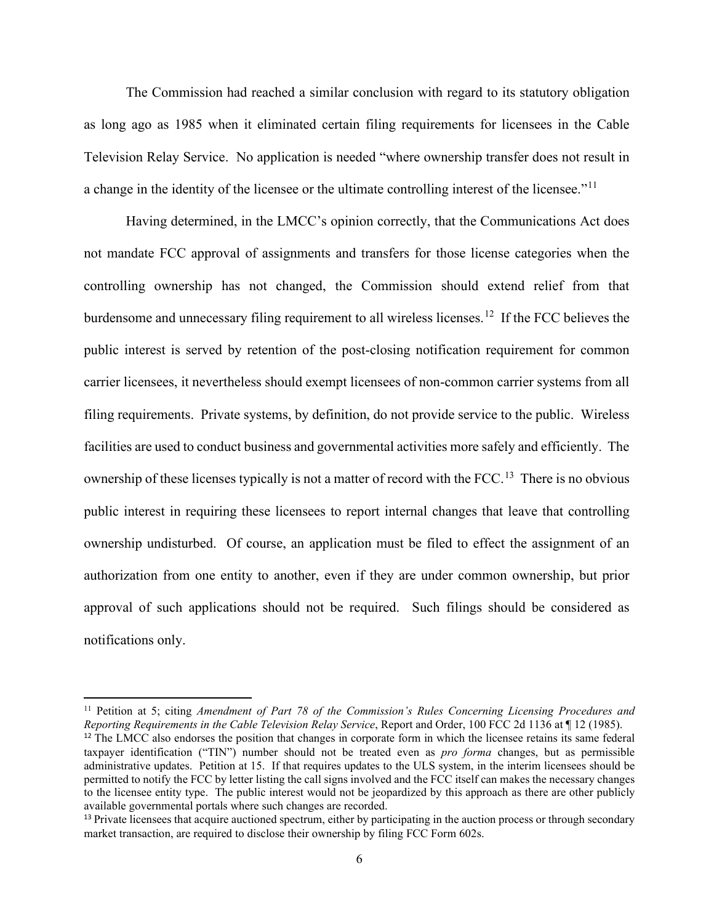The Commission had reached a similar conclusion with regard to its statutory obligation as long ago as 1985 when it eliminated certain filing requirements for licensees in the Cable Television Relay Service. No application is needed "where ownership transfer does not result in a change in the identity of the licensee or the ultimate controlling interest of the licensee."<sup>[11](#page-5-0)</sup>

Having determined, in the LMCC's opinion correctly, that the Communications Act does not mandate FCC approval of assignments and transfers for those license categories when the controlling ownership has not changed, the Commission should extend relief from that burdensome and unnecessary filing requirement to all wireless licenses.<sup>[12](#page-5-1)</sup> If the FCC believes the public interest is served by retention of the post-closing notification requirement for common carrier licensees, it nevertheless should exempt licensees of non-common carrier systems from all filing requirements. Private systems, by definition, do not provide service to the public. Wireless facilities are used to conduct business and governmental activities more safely and efficiently. The ownership of these licenses typically is not a matter of record with the FCC.<sup>[13](#page-5-2)</sup> There is no obvious public interest in requiring these licensees to report internal changes that leave that controlling ownership undisturbed. Of course, an application must be filed to effect the assignment of an authorization from one entity to another, even if they are under common ownership, but prior approval of such applications should not be required. Such filings should be considered as notifications only.

<span id="page-5-0"></span><sup>11</sup> Petition at 5; citing *Amendment of Part 78 of the Commission's Rules Concerning Licensing Procedures and Reporting Requirements in the Cable Television Relay Service*, Report and Order, 100 FCC 2d 1136 at ¶ 12 (1985). <sup>12</sup> The LMCC also endorses the position that changes in corporate form in which the licensee retains its same federal

<span id="page-5-1"></span>taxpayer identification ("TIN") number should not be treated even as *pro forma* changes, but as permissible administrative updates. Petition at 15. If that requires updates to the ULS system, in the interim licensees should be permitted to notify the FCC by letter listing the call signs involved and the FCC itself can makes the necessary changes to the licensee entity type. The public interest would not be jeopardized by this approach as there are other publicly available governmental portals where such changes are recorded.

<span id="page-5-2"></span><sup>&</sup>lt;sup>13</sup> Private licensees that acquire auctioned spectrum, either by participating in the auction process or through secondary market transaction, are required to disclose their ownership by filing FCC Form 602s.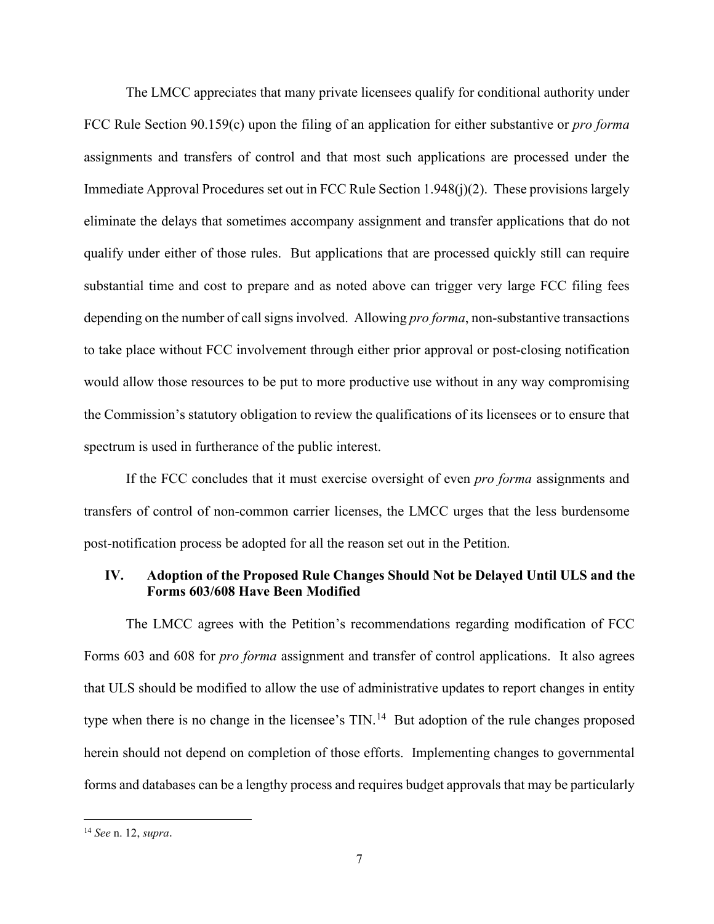The LMCC appreciates that many private licensees qualify for conditional authority under FCC Rule Section 90.159(c) upon the filing of an application for either substantive or *pro forma*  assignments and transfers of control and that most such applications are processed under the Immediate Approval Procedures set out in FCC Rule Section 1.948(j)(2). These provisions largely eliminate the delays that sometimes accompany assignment and transfer applications that do not qualify under either of those rules. But applications that are processed quickly still can require substantial time and cost to prepare and as noted above can trigger very large FCC filing fees depending on the number of call signs involved. Allowing *pro forma*, non-substantive transactions to take place without FCC involvement through either prior approval or post-closing notification would allow those resources to be put to more productive use without in any way compromising the Commission's statutory obligation to review the qualifications of its licensees or to ensure that spectrum is used in furtherance of the public interest.

If the FCC concludes that it must exercise oversight of even *pro forma* assignments and transfers of control of non-common carrier licenses, the LMCC urges that the less burdensome post-notification process be adopted for all the reason set out in the Petition.

### **IV. Adoption of the Proposed Rule Changes Should Not be Delayed Until ULS and the Forms 603/608 Have Been Modified**

The LMCC agrees with the Petition's recommendations regarding modification of FCC Forms 603 and 608 for *pro forma* assignment and transfer of control applications. It also agrees that ULS should be modified to allow the use of administrative updates to report changes in entity type when there is no change in the licensee's TIN.<sup>[14](#page-6-0)</sup> But adoption of the rule changes proposed herein should not depend on completion of those efforts. Implementing changes to governmental forms and databases can be a lengthy process and requires budget approvals that may be particularly

<span id="page-6-0"></span><sup>14</sup> *See* n. 12, *supra*.